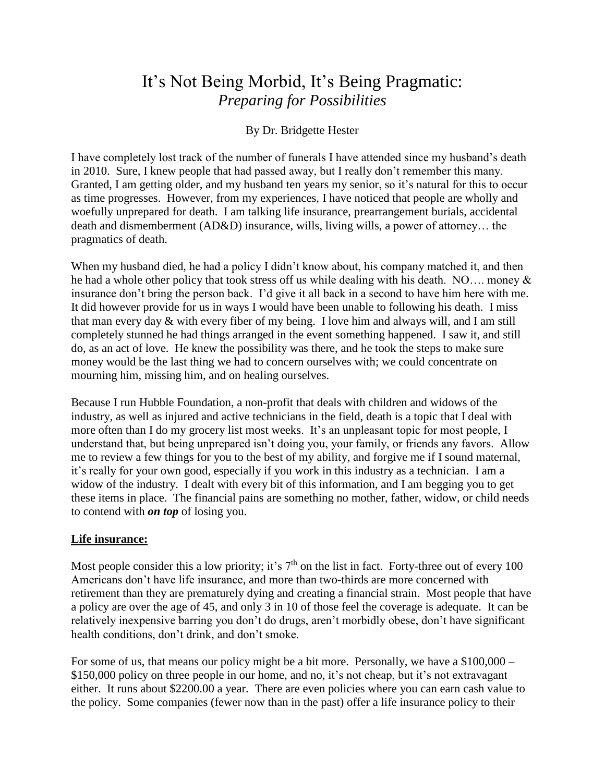# It's Not Being Morbid, It's Being Pragmatic: *Preparing for Possibilities*

## By Dr. Bridgette Hester

I have completely lost track of the number of funerals I have attended since my husband's death in 2010. Sure, I knew people that had passed away, but I really don't remember this many. Granted, I am getting older, and my husband ten years my senior, so it's natural for this to occur as time progresses. However, from my experiences, I have noticed that people are wholly and woefully unprepared for death. I am talking life insurance, prearrangement burials, accidental death and dismemberment (AD&D) insurance, wills, living wills, a power of attorney… the pragmatics of death.

When my husband died, he had a policy I didn't know about, his company matched it, and then he had a whole other policy that took stress off us while dealing with his death. NO…. money & insurance don't bring the person back. I'd give it all back in a second to have him here with me. It did however provide for us in ways I would have been unable to following his death. I miss that man every day & with every fiber of my being. I love him and always will, and I am still completely stunned he had things arranged in the event something happened. I saw it, and still do, as an act of love. He knew the possibility was there, and he took the steps to make sure money would be the last thing we had to concern ourselves with; we could concentrate on mourning him, missing him, and on healing ourselves.

Because I run Hubble Foundation, a non-profit that deals with children and widows of the industry, as well as injured and active technicians in the field, death is a topic that I deal with more often than I do my grocery list most weeks. It's an unpleasant topic for most people, I understand that, but being unprepared isn't doing you, your family, or friends any favors. Allow me to review a few things for you to the best of my ability, and forgive me if I sound maternal, it's really for your own good, especially if you work in this industry as a technician. I am a widow of the industry. I dealt with every bit of this information, and I am begging you to get these items in place. The financial pains are something no mother, father, widow, or child needs to contend with *on top* of losing you.

#### **Life insurance:**

Most people consider this a low priority; it's  $7<sup>th</sup>$  on the list in fact. Forty-three out of every 100 Americans don't have life insurance, and more than two-thirds are more concerned with retirement than they are prematurely dying and creating a financial strain. Most people that have a policy are over the age of 45, and only 3 in 10 of those feel the coverage is adequate. It can be relatively inexpensive barring you don't do drugs, aren't morbidly obese, don't have significant health conditions, don't drink, and don't smoke.

For some of us, that means our policy might be a bit more. Personally, we have a \$100,000 – \$150,000 policy on three people in our home, and no, it's not cheap, but it's not extravagant either. It runs about \$2200.00 a year. There are even policies where you can earn cash value to the policy. Some companies (fewer now than in the past) offer a life insurance policy to their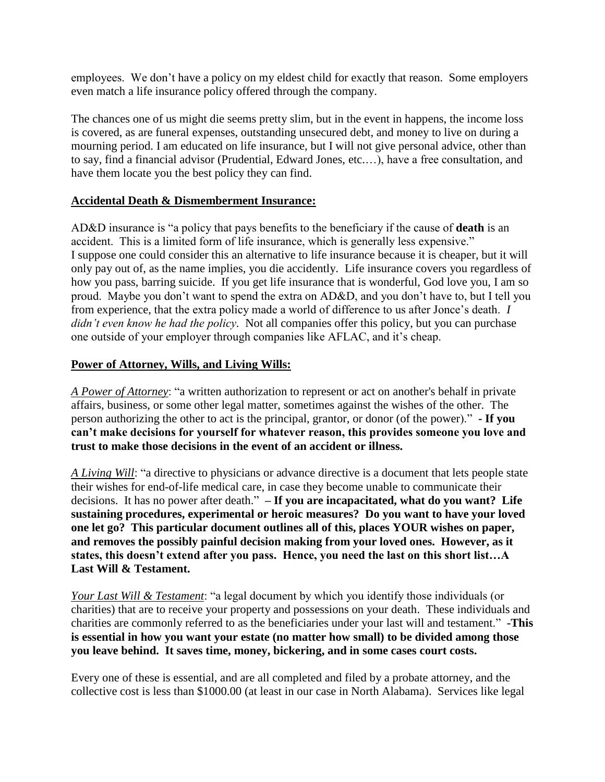employees. We don't have a policy on my eldest child for exactly that reason. Some employers even match a life insurance policy offered through the company.

The chances one of us might die seems pretty slim, but in the event in happens, the income loss is covered, as are funeral expenses, outstanding unsecured debt, and money to live on during a mourning period. I am educated on life insurance, but I will not give personal advice, other than to say, find a financial advisor (Prudential, Edward Jones, etc.…), have a free consultation, and have them locate you the best policy they can find.

### **Accidental Death & Dismemberment Insurance:**

AD&D insurance is "a policy that pays benefits to the beneficiary if the cause of **death** is an accident. This is a limited form of life insurance, which is generally less expensive." I suppose one could consider this an alternative to life insurance because it is cheaper, but it will only pay out of, as the name implies, you die accidently. Life insurance covers you regardless of how you pass, barring suicide. If you get life insurance that is wonderful, God love you, I am so proud. Maybe you don't want to spend the extra on AD&D, and you don't have to, but I tell you from experience, that the extra policy made a world of difference to us after Jonce's death. *I didn't even know he had the policy.* Not all companies offer this policy, but you can purchase one outside of your employer through companies like AFLAC, and it's cheap.

#### **Power of Attorney, Wills, and Living Wills:**

*A Power of Attorney*: "a written authorization to represent or act on another's behalf in private affairs, business, or some other legal matter, sometimes against the wishes of the other. The person authorizing the other to act is the principal, grantor, or donor (of the power)." **- If you can't make decisions for yourself for whatever reason, this provides someone you love and trust to make those decisions in the event of an accident or illness.**

*A Living Will*: "a directive to physicians or advance directive is a document that lets people state their wishes for end-of-life medical care, in case they become unable to communicate their decisions. It has no power after death." **– If you are incapacitated, what do you want? Life sustaining procedures, experimental or heroic measures? Do you want to have your loved one let go? This particular document outlines all of this, places YOUR wishes on paper, and removes the possibly painful decision making from your loved ones. However, as it states, this doesn't extend after you pass. Hence, you need the last on this short list…A Last Will & Testament.**

*Your Last Will & Testament*: "a legal document by which you identify those individuals (or charities) that are to receive your property and possessions on your death. These individuals and charities are commonly referred to as the beneficiaries under your last will and testament." **-This is essential in how you want your estate (no matter how small) to be divided among those you leave behind. It saves time, money, bickering, and in some cases court costs.**

Every one of these is essential, and are all completed and filed by a probate attorney, and the collective cost is less than \$1000.00 (at least in our case in North Alabama). Services like legal